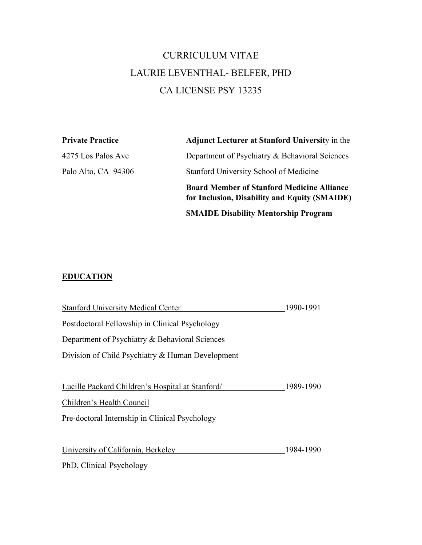## CURRICULUM VITAE LAURIE LEVENTHAL- BELFER, PHD CA LICENSE PSY 13235

| <b>Private Practice</b> | <b>Adjunct Lecturer at Stanford University in the</b>                                              |
|-------------------------|----------------------------------------------------------------------------------------------------|
| 4275 Los Palos Ave      | Department of Psychiatry & Behavioral Sciences                                                     |
| Palo Alto, CA 94306     | Stanford University School of Medicine                                                             |
|                         | <b>Board Member of Stanford Medicine Alliance</b><br>for Inclusion, Disability and Equity (SMAIDE) |
|                         | <b>SMAIDE Disability Mentorship Program</b>                                                        |

## **EDUCATION**

| <b>Stanford University Medical Center</b>        | 1990-1991 |
|--------------------------------------------------|-----------|
| Postdoctoral Fellowship in Clinical Psychology   |           |
| Department of Psychiatry & Behavioral Sciences   |           |
| Division of Child Psychiatry & Human Development |           |
|                                                  |           |
| Lucille Packard Children's Hospital at Stanford/ | 1989-1990 |
| Children's Health Council                        |           |
| Pre-doctoral Internship in Clinical Psychology   |           |
|                                                  |           |
| University of California, Berkeley               | 1984-1990 |
| PhD, Clinical Psychology                         |           |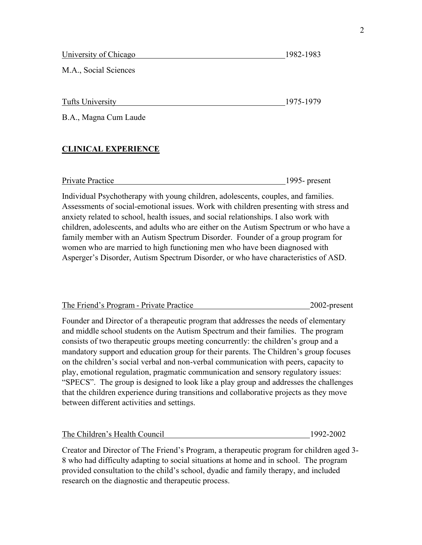| University of Chicago | 1982-1983 |
|-----------------------|-----------|
|                       |           |

M.A., Social Sciences

Tufts University 1975-1979

B.A., Magna Cum Laude

## **CLINICAL EXPERIENCE**

Private Practice 1995- present

Individual Psychotherapy with young children, adolescents, couples, and families. Assessments of social-emotional issues. Work with children presenting with stress and anxiety related to school, health issues, and social relationships. I also work with children, adolescents, and adults who are either on the Autism Spectrum or who have a family member with an Autism Spectrum Disorder. Founder of a group program for women who are married to high functioning men who have been diagnosed with Asperger's Disorder, Autism Spectrum Disorder, or who have characteristics of ASD.

| The Friend's Program - Private Practice | 2002-present |
|-----------------------------------------|--------------|
|                                         |              |

Founder and Director of a therapeutic program that addresses the needs of elementary and middle school students on the Autism Spectrum and their families. The program consists of two therapeutic groups meeting concurrently: the children's group and a mandatory support and education group for their parents. The Children's group focuses on the children's social verbal and non-verbal communication with peers, capacity to play, emotional regulation, pragmatic communication and sensory regulatory issues: "SPECS". The group is designed to look like a play group and addresses the challenges that the children experience during transitions and collaborative projects as they move between different activities and settings.

| The Children's Health Council | 1992-2002 |
|-------------------------------|-----------|
|                               |           |

Creator and Director of The Friend's Program, a therapeutic program for children aged 3- 8 who had difficulty adapting to social situations at home and in school. The program provided consultation to the child's school, dyadic and family therapy, and included research on the diagnostic and therapeutic process.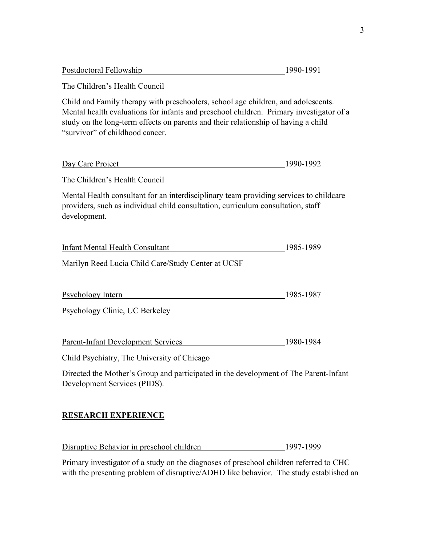| The Children's Health Council                                                                                                                                                                                                                                                                         |           |
|-------------------------------------------------------------------------------------------------------------------------------------------------------------------------------------------------------------------------------------------------------------------------------------------------------|-----------|
| Child and Family therapy with preschoolers, school age children, and adolescents.<br>Mental health evaluations for infants and preschool children. Primary investigator of a<br>study on the long-term effects on parents and their relationship of having a child<br>"survivor" of childhood cancer. |           |
| Day Care Project                                                                                                                                                                                                                                                                                      | 1990-1992 |
| The Children's Health Council                                                                                                                                                                                                                                                                         |           |
| Mental Health consultant for an interdisciplinary team providing services to childcare<br>providers, such as individual child consultation, curriculum consultation, staff<br>development.                                                                                                            |           |
| Infant Mental Health Consultant<br>Marilyn Reed Lucia Child Care/Study Center at UCSF                                                                                                                                                                                                                 | 1985-1989 |
| <b>Psychology Intern</b>                                                                                                                                                                                                                                                                              | 1985-1987 |

Postdoctoral Fellowship 1990-1991

Psychology Clinic, UC Berkeley

| Parent-Infant Development Services | 1980-1984 |
|------------------------------------|-----------|
|                                    |           |

Child Psychiatry, The University of Chicago

Directed the Mother's Group and participated in the development of The Parent-Infant Development Services (PIDS).

### **RESEARCH EXPERIENCE**

Disruptive Behavior in preschool children 1997-1999

Primary investigator of a study on the diagnoses of preschool children referred to CHC with the presenting problem of disruptive/ADHD like behavior. The study established an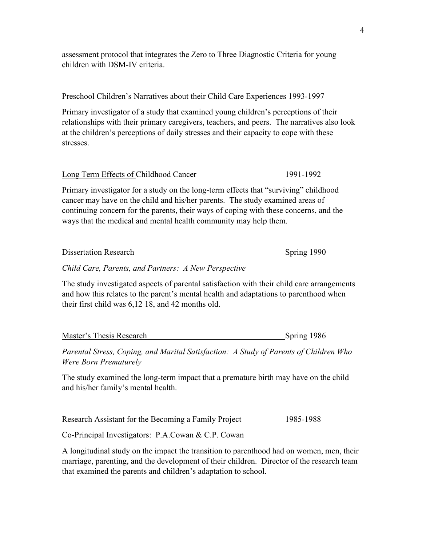assessment protocol that integrates the Zero to Three Diagnostic Criteria for young children with DSM-IV criteria.

#### Preschool Children's Narratives about their Child Care Experiences 1993-1997

Primary investigator of a study that examined young children's perceptions of their relationships with their primary caregivers, teachers, and peers. The narratives also look at the children's perceptions of daily stresses and their capacity to cope with these stresses.

| Long Term Effects of Childhood Cancer | 1991-1992 |
|---------------------------------------|-----------|
|                                       |           |

Primary investigator for a study on the long-term effects that "surviving" childhood cancer may have on the child and his/her parents. The study examined areas of continuing concern for the parents, their ways of coping with these concerns, and the ways that the medical and mental health community may help them.

| <b>Dissertation Research</b> | Spring 1990 |  |
|------------------------------|-------------|--|
|                              |             |  |

#### *Child Care, Parents, and Partners: A New Perspective*

The study investigated aspects of parental satisfaction with their child care arrangements and how this relates to the parent's mental health and adaptations to parenthood when their first child was 6,12 18, and 42 months old.

| Master's Thesis Research | Spring 1986 |  |
|--------------------------|-------------|--|
|                          |             |  |

*Parental Stress, Coping, and Marital Satisfaction: A Study of Parents of Children Who Were Born Prematurely*

The study examined the long-term impact that a premature birth may have on the child and his/her family's mental health.

Research Assistant for the Becoming a Family Project 1985-1988

Co-Principal Investigators: P.A.Cowan & C.P. Cowan

A longitudinal study on the impact the transition to parenthood had on women, men, their marriage, parenting, and the development of their children. Director of the research team that examined the parents and children's adaptation to school.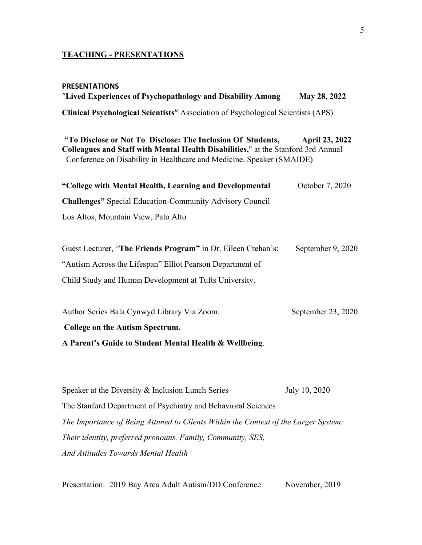#### **TEACHING - PRESENTATIONS**

# **PRESENTATIONS** "**Lived Experiences of Psychopathology and Disability Among May 28, 2022 Clinical Psychological Scientists"** Association of Psychological Scientists (APS) **"To Disclose or Not To Disclose: The Inclusion Of Students, April 23, 2022 Colleagues and Staff with Mental Health Disabilities,**" at the Stanford 3rd Annual Conference on Disability in Healthcare and Medicine. Speaker (SMAIDE) **"College with Mental Health, Learning and Developmental** October 7, 2020 **Challenges"** Special Education-Community Advisory Council Los Altos, Mountain View, Palo Alto Guest Lecturer, "The Friends Program" in Dr. Eileen Crehan's: September 9, 2020 "Autism Across the Lifespan" Elliot Pearson Department of Child Study and Human Development at Tufts University. Author Series Bala Cynwyd Library Via Zoom: September 23, 2020 **College on the Autism Spectrum. A Parent's Guide to Student Mental Health & Wellbeing**.

Speaker at the Diversity & Inclusion Lunch Series July 10, 2020 The Stanford Department of Psychiatry and Behavioral Sciences *The Importance of Being Attuned to Clients Within the Context of the Larger System: Their identity, preferred pronouns, Family, Community, SES, And Attitudes Towards Mental Health*

Presentation: 2019 Bay Area Adult Autism/DD Conference. November, 2019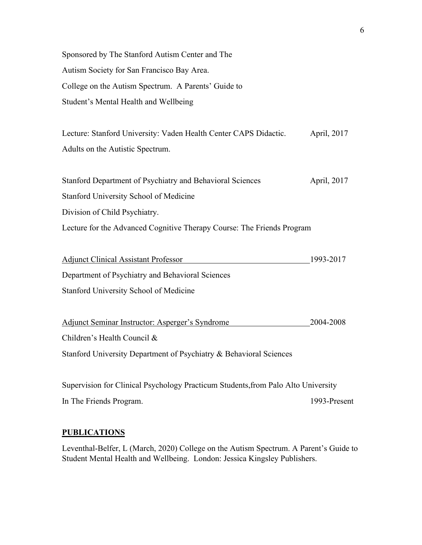Sponsored by The Stanford Autism Center and The Autism Society for San Francisco Bay Area. College on the Autism Spectrum. A Parents' Guide to Student's Mental Health and Wellbeing

Lecture: Stanford University: Vaden Health Center CAPS Didactic. April, 2017 Adults on the Autistic Spectrum.

| Stanford Department of Psychiatry and Behavioral Sciences              | April, 2017 |
|------------------------------------------------------------------------|-------------|
| Stanford University School of Medicine                                 |             |
| Division of Child Psychiatry.                                          |             |
| Lecture for the Advanced Cognitive Therapy Course: The Friends Program |             |

| <b>Adjunct Clinical Assistant Professor</b>      | 1993-2017 |
|--------------------------------------------------|-----------|
| Department of Psychiatry and Behavioral Sciences |           |
| <b>Stanford University School of Medicine</b>    |           |

Adjunct Seminar Instructor: Asperger's Syndrome 2004-2008 Children's Health Council & Stanford University Department of Psychiatry & Behavioral Sciences

Supervision for Clinical Psychology Practicum Students,from Palo Alto University In The Friends Program. 1993-Present

#### **PUBLICATIONS**

Leventhal-Belfer, L (March, 2020) College on the Autism Spectrum. A Parent's Guide to Student Mental Health and Wellbeing. London: Jessica Kingsley Publishers.